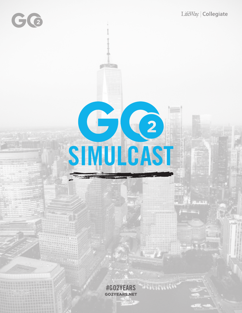# $G(2)$ SIMULCAST

#GO2YEARS WASHINGTHING GO2YEARS.NET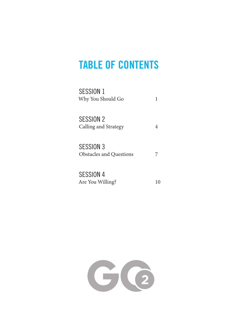# TABLE OF CONTENTS

| SESSION 1<br>Why You Should Go              | ı |
|---------------------------------------------|---|
| <b>SESSION 2</b><br>Calling and Strategy    | 4 |
| SESSION 3<br><b>Obstacles and Questions</b> |   |
| <b>SESSION 4</b><br>Are You Willing?        |   |

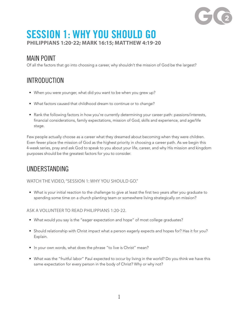# SESSION 1: WHY YOU SHOULD GO **PHILIPPIANS 1:20-22; MARK 16:15; MATTHEW 4:19-20**

#### MAIN POINT

Of all the factors that go into choosing a career, why shouldn't the mission of God be the largest?

# INTRODUCTION

- When you were younger, what did you want to be when you grew up?
- What factors caused that childhood dream to continue or to change?
- Rank the following factors in how you're currently determining your career path: passions/interests, financial considerations, family expectations, mission of God, skills and experience, and age/life stage.

Few people actually choose as a career what they dreamed about becoming when they were children. Even fewer place the mission of God as the highest priority in choosing a career path. As we begin this 4-week series, pray and ask God to speak to you about your life, career, and why His mission and kingdom purposes should be the greatest factors for you to consider.

## UNDERSTANDING

WATCH THE VIDEO, "SESSION 1: WHY YOU SHOULD GO."

• What is your initial reaction to the challenge to give at least the first two years after you graduate to spending some time on a church planting team or somewhere living strategically on mission?

ASK A VOLUNTEER TO READ PHILIPPIANS 1:20-22.

- What would you say is the "eager expectation and hope" of most college graduates?
- Should relationship with Christ impact what a person eagerly expects and hopes for? Has it for you? Explain.
- In your own words, what does the phrase "to live is Christ" mean?
- What was the "fruitful labor" Paul expected to occur by living in the world? Do you think we have this same expectation for every person in the body of Christ? Why or why not?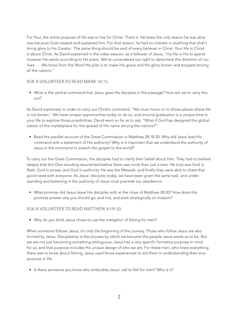For Paul, the entire purpose of life was to live for Christ. That's it. He knew the only reason he was alive was because God created and sustained him. For that reason, he had no interest in anything that didn't bring glory to his Creator. The same thing should be said of every believer in Christ. Your life in Christ is about Christ. As David explained in the video session, as a follower of Jesus, "my life is His to spend however He wants according to His plans. We've surrendered our right to determine the direction of our lives . . . We know from the Word His plan is to make His grace and His glory known and enjoyed among all the nations."

#### ASK A VOLUNTEER TO READ MARK 16:15.

• What is the central command that Jesus gave His disciples in this passage? How are we to carry this out?

As David explained, in order to carry out Christ's command, "We must move on to those places where He is not known." We have unique opportunities today to do so, and around graduation is a unique time in your life to explore those possibilities. David went so far as to ask, "What if God has designed the globalization of the marketplace for the spread of His name among the nations?"

• Read the parallel account of the Great Commission in Matthew 28:18-20. Why did Jesus lead His command with a statement of His authority? Why is it important that we understand the authority of Jesus in the command to preach the gospel to the world?

To carry out the Great Commission, the disciples had to clarify their belief about Him. They had to believe deeply that this One standing resurrected before them was more than just a man. He truly was God in flesh, God in power, and God in authority. He was the Messiah, and finally they were able to share that good news with everyone. As Jesus' disciples today, we have been given the same task, and understanding and believing in the authority of Jesus must precede our obedience.

• What promise did Jesus leave His disciples with at the close of Matthew 28:20? How does this promise answer why you should go, and live, and work strategically on mission?

#### ASK A VOLUNTEER TO READ MATTHEW 4:19-20.

• Why do you think Jesus chose to use the metaphor of fishing for men?

When someone follows Jesus, it's only the beginning of the journey. Those who follow Jesus are also formed by Jesus. Discipleship is the process by which we become the people Jesus wants us to be. But we are not just becoming something ambiguous; Jesus has a very specific formative purpose in mind for us, and that purpose includes His unique design of who we are. For these men, who knew everything there was to know about fishing, Jesus used those experiences to aid them in understanding their true purpose in life.

• Is there someone you know who embodies Jesus' call to fish for men? Who is it?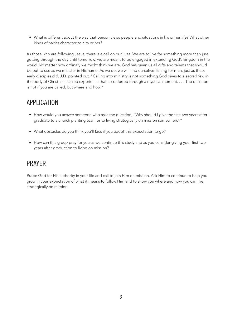• What is different about the way that person views people and situations in his or her life? What other kinds of habits characterize him or her?

As those who are following Jesus, there is a call on our lives. We are to live for something more than just getting through the day until tomorrow; we are meant to be engaged in extending God's kingdom in the world. No matter how ordinary we might think we are, God has given us all gifts and talents that should be put to use as we minister in His name. As we do, we will find ourselves fishing for men, just as these early disciples did. J.D. pointed out, "Calling into ministry is not something God gives to a sacred few in the body of Christ in a sacred experience that is conferred through a mystical moment. . . . The question is not if you are called, but where and how."

### APPLICATION

- How would you answer someone who asks the question, "Why should I give the first two years after I graduate to a church planting team or to living strategically on mission somewhere?"
- What obstacles do you think you'll face if you adopt this expectation to go?
- How can this group pray for you as we continue this study and as you consider giving your first two years after graduation to living on mission?

### PRAYER

Praise God for His authority in your life and call to join Him on mission. Ask Him to continue to help you grow in your expectation of what it means to follow Him and to show you where and how you can live strategically on mission.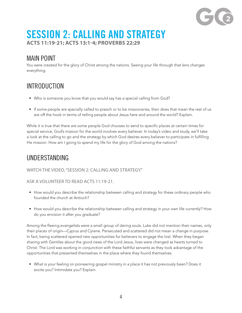

# SESSION 2: CALLING AND STRATEGY **ACTS 11:19-21; ACTS 13:1-4; PROVERBS 22:29**

#### MAIN POINT

You were created for the glory of Christ among the nations. Seeing your life through that lens changes everything.

# INTRODUCTION

- Who is someone you know that you would say has a special calling from God?
- If some people are specially called to preach or to be missionaries, then does that mean the rest of us are off the hook in terms of telling people about Jesus here and around the world? Explain.

While it is true that there are some people God chooses to send to specific places at certain times for special service, God's mission for the world involves every believer. In today's video and study, we'll take a look at the calling to go and the strategy by which God desires every believer to participate in fulfilling His mission. How am I going to spend my life for the glory of God among the nations?

### UNDERSTANDING

#### WATCH THE VIDEO, "SESSION 2: CALLING AND STRATEGY."

#### ASK A VOLUNTEER TO READ ACTS 11:19-21.

- How would you describe the relationship between calling and strategy for these ordinary people who founded the church at Antioch?
- How would you describe the relationship between calling and strategy in your own life currently? How do you envision it after you graduate?

Among the fleeing evangelists were a small group of daring souls. Luke did not mention their names, only their places of origin—Cyprus and Cyrene. Persecuted and scattered did not mean a change in purpose. In fact, being scattered opened new opportunities for believers to engage the lost. When they began sharing with Gentiles about the good news of the Lord Jesus, lives were changed as hearts turned to Christ. The Lord was working in conjunction with these faithful servants as they took advantage of the opportunities that presented themselves in the place where they found themselves.

• What is your feeling on pioneering gospel ministry in a place it has not previously been? Does it excite you? Intimidate you? Explain.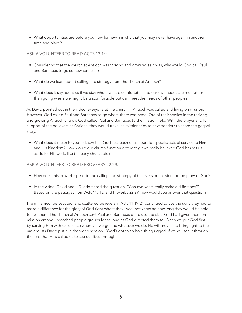• What opportunities are before you now for new ministry that you may never have again in another time and place?

#### ASK A VOLUNTEER TO READ ACTS 13:1-4.

- Considering that the church at Antioch was thriving and growing as it was, why would God call Paul and Barnabas to go somewhere else?
- What do we learn about calling and strategy from the church at Antioch?
- What does it say about us if we stay where we are comfortable and our own needs are met rather than going where we might be uncomfortable but can meet the needs of other people?

As David pointed out in the video, everyone at the church in Antioch was called and living on mission. However, God called Paul and Barnabas to go where there was need. Out of their service in the thriving and growing Antioch church, God called Paul and Barnabas to the mission field. With the prayer and full support of the believers at Antioch, they would travel as missionaries to new frontiers to share the gospel story.

• What does it mean to you to know that God sets each of us apart for specific acts of service to Him and His kingdom? How would our church function differently if we really believed God has set us aside for His work, like the early church did?

#### ASK A VOLUNTEER TO READ PROVERBS 22:29.

- How does this proverb speak to the calling and strategy of believers on mission for the glory of God?
- In the video, David and J.D. addressed the question, "Can two years really make a difference?" Based on the passages from Acts 11; 13; and Proverbs 22:29, how would you answer that question?

The unnamed, persecuted, and scattered believers in Acts 11:19-21 continued to use the skills they had to make a difference for the glory of God right where they lived, not knowing how long they would be able to live there. The church at Antioch sent Paul and Barnabas off to use the skills God had given them on mission among unreached people groups for as long as God directed them to. When we put God first by serving Him with excellence wherever we go and whatever we do, He will move and bring light to the nations. As David put it in the video session, "God's got this whole thing rigged, if we will see it through the lens that He's called us to see our lives through."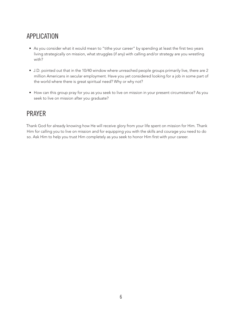# APPLICATION

- As you consider what it would mean to "tithe your career" by spending at least the first two years living strategically on mission, what struggles (if any) with calling and/or strategy are you wrestling with?
- J.D. pointed out that in the 10/40 window where unreached people groups primarily live, there are 2 million Americans in secular employment. Have you yet considered looking for a job in some part of the world where there is great spiritual need? Why or why not?
- How can this group pray for you as you seek to live on mission in your present circumstance? As you seek to live on mission after you graduate?

### PRAYER

Thank God for already knowing how He will receive glory from your life spent on mission for Him. Thank Him for calling you to live on mission and for equipping you with the skills and courage you need to do so. Ask Him to help you trust Him completely as you seek to honor Him first with your career.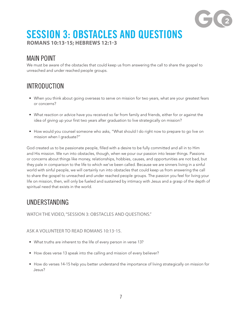

# SESSION 3: OBSTACLES AND QUESTIONS **ROMANS 10:13-15; HEBREWS 12:1-3**

#### MAIN POINT

We must be aware of the obstacles that could keep us from answering the call to share the gospel to unreached and under reached people groups.

# INTRODUCTION

- When you think about going overseas to serve on mission for two years, what are your greatest fears or concerns?
- What reaction or advice have you received so far from family and friends, either for or against the idea of giving up your first two years after graduation to live strategically on mission?
- How would you counsel someone who asks, "What should I do right now to prepare to go live on mission when I graduate?"

God created us to be passionate people, filled with a desire to be fully committed and all in to Him and His mission. We run into obstacles, though, when we pour our passion into lesser things. Passions or concerns about things like money, relationships, hobbies, causes, and opportunities are not bad, but they pale in comparison to the life to which we've been called. Because we are sinners living in a sinful world with sinful people, we will certainly run into obstacles that could keep us from answering the call to share the gospel to unreached and under reached people groups. The passion you feel for living your life on mission, then, will only be fueled and sustained by intimacy with Jesus and a grasp of the depth of spiritual need that exists in the world.

### UNDERSTANDING

WATCH THE VIDEO, "SESSION 3: OBSTACLES AND QUESTIONS."

#### ASK A VOLUNTEER TO READ ROMANS 10:13-15.

- What truths are inherent to the life of every person in verse 13?
- How does verse 13 speak into the calling and mission of every believer?
- How do verses 14-15 help you better understand the importance of living strategically on mission for Jesus?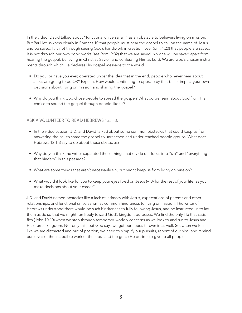In the video, David talked about "functional universalism" as an obstacle to believers living on mission. But Paul let us know clearly in Romans 10 that people must hear the gospel to call on the name of Jesus and be saved. It is not through seeing God's handiwork in creation (see Rom. 1:20) that people are saved. It is not through our own good works (see Rom. 9:32) that we are saved. No one will be saved apart from hearing the gospel, believing in Christ as Savior, and confessing Him as Lord. We are God's chosen instruments through which He declares His gospel message to the world.

- Do you, or have you ever, operated under the idea that in the end, people who never hear about Jesus are going to be OK? Explain. How would continuing to operate by that belief impact your own decisions about living on mission and sharing the gospel?
- Why do you think God chose people to spread the gospel? What do we learn about God from His choice to spread the gospel through people like us?

#### ASK A VOLUNTEER TO READ HEBREWS 12:1-3.

- In the video session, J.D. and David talked about some common obstacles that could keep us from answering the call to share the gospel to unreached and under reached people groups. What does Hebrews 12:1-3 say to do about those obstacles?
- Why do you think the writer separated those things that divide our focus into "sin" and "everything that hinders" in this passage?
- What are some things that aren't necessarily sin, but might keep us from living on mission?
- What would it look like for you to keep your eyes fixed on Jesus (v. 3) for the rest of your life, as you make decisions about your career?

J.D. and David named obstacles like a lack of intimacy with Jesus, expectations of parents and other relationships, and functional universalism as common hindrances to living on mission. The writer of Hebrews understood there would be such hindrances to fully following Jesus, and he instructed us to lay them aside so that we might run freely toward God's kingdom purposes. We find the only life that satisfies (John 10:10) when we step through temporary, worldly concerns as we look to and run to Jesus and His eternal kingdom. Not only this, but God says we get our needs thrown in as well. So, when we feel like we are distracted and out of position, we need to simplify our pursuits, repent of our sins, and remind ourselves of the incredible work of the cross and the grace He desires to give to all people.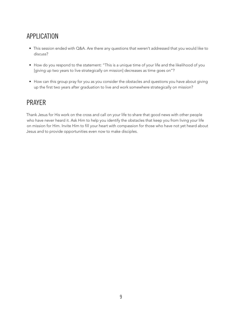# APPLICATION

- This session ended with Q&A. Are there any questions that weren't addressed that you would like to discuss?
- How do you respond to the statement: "This is a unique time of your life and the likelihood of you [giving up two years to live strategically on mission] decreases as time goes on"?
- How can this group pray for you as you consider the obstacles and questions you have about giving up the first two years after graduation to live and work somewhere strategically on mission?

### PRAYER

Thank Jesus for His work on the cross and call on your life to share that good news with other people who have never heard it. Ask Him to help you identify the obstacles that keep you from living your life on mission for Him. Invite Him to fill your heart with compassion for those who have not yet heard about Jesus and to provide opportunities even now to make disciples.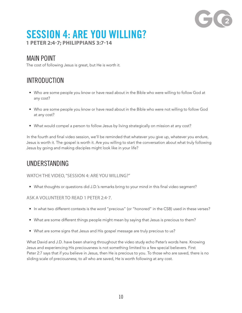# SESSION 4: ARE YOU WILLING? **1 PETER 2:4-7; PHILIPPIANS 3:7-14**

#### MAIN POINT

The cost of following Jesus is great, but He is worth it.

# INTRODUCTION

- Who are some people you know or have read about in the Bible who were willing to follow God at any cost?
- Who are some people you know or have read about in the Bible who were not willing to follow God at any cost?
- What would compel a person to follow Jesus by living strategically on mission at any cost?

In the fourth and final video session, we'll be reminded that whatever you give up, whatever you endure, Jesus is worth it. The gospel is worth it. Are you willing to start the conversation about what truly following Jesus by going and making disciples might look like in your life?

#### UNDERSTANDING

#### WATCH THE VIDEO, "SESSION 4: ARE YOU WILLING?"

• What thoughts or questions did J.D.'s remarks bring to your mind in this final video segment?

#### ASK A VOLUNTEER TO READ 1 PETER 2:4-7.

- In what two different contexts is the word "precious" (or "honored" in the CSB) used in these verses?
- What are some different things people might mean by saying that Jesus is precious to them?
- What are some signs that Jesus and His gospel message are truly precious to us?

What David and J.D. have been sharing throughout the video study echo Peter's words here. Knowing Jesus and experiencing His preciousness is not something limited to a few special believers. First Peter 2:7 says that if you believe in Jesus, then He is precious to you. To those who are saved, there is no sliding scale of preciousness; to all who are saved, He is worth following at any cost.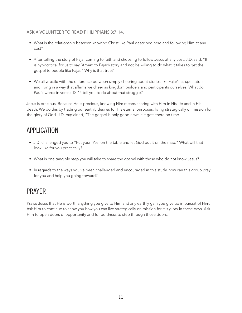#### ASK A VOLUNTEER TO READ PHILIPPIANS 3:7-14.

- What is the relationship between knowing Christ like Paul described here and following Him at any cost?
- After telling the story of Fajar coming to faith and choosing to follow Jesus at any cost, J.D. said, "It is hypocritical for us to say 'Amen' to Fajar's story and not be willing to do what it takes to get the gospel to people like Fajar." Why is that true?
- We all wrestle with the difference between simply cheering about stories like Fajar's as spectators, and living in a way that affirms we cheer as kingdom builders and participants ourselves. What do Paul's words in verses 12-14 tell you to do about that struggle?

Jesus is precious. Because He is precious, knowing Him means sharing with Him in His life and in His death. We do this by trading our earthly desires for His eternal purposes, living strategically on mission for the glory of God. J.D. explained, "The gospel is only good news if it gets there on time.

#### APPLICATION

- J.D. challenged you to "Put your 'Yes' on the table and let God put it on the map." What will that look like for you practically?
- What is one tangible step you will take to share the gospel with those who do not know Jesus?
- In regards to the ways you've been challenged and encouraged in this study, how can this group pray for you and help you going forward?

### PRAYER

Praise Jesus that He is worth anything you give to Him and any earthly gain you give up in pursuit of Him. Ask Him to continue to show you how you can live strategically on mission for His glory in these days. Ask Him to open doors of opportunity and for boldness to step through those doors.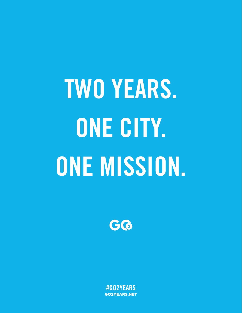TWO YEARS. ONE CITY. ONE MISSION.



#GO2YEARS GO2YEARS.NET